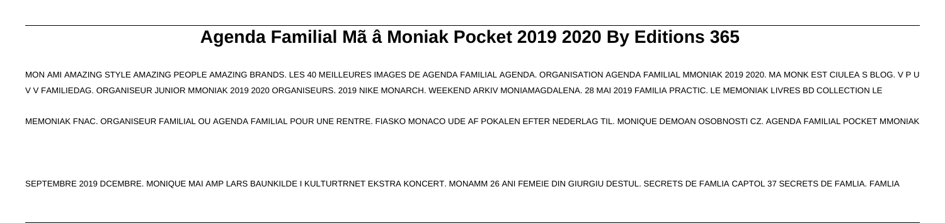# **Agenda Familial Mã â Moniak Pocket 2019 2020 By Editions 365**

MON AMI AMAZING STYLE AMAZING PEOPLE AMAZING BRANDS. LES 40 MEILLEURES IMAGES DE AGENDA FAMILIAL AGENDA. ORGANISATION AGENDA FAMILIAL MMONIAK 2019 2020. MA MONK EST CIULEA S BLOG. V P U V V FAMILIEDAG. ORGANISEUR JUNIOR MMONIAK 2019 2020 ORGANISEURS. 2019 NIKE MONARCH. WEEKEND ARKIV MONIAMAGDALENA. 28 MAI 2019 FAMILIA PRACTIC. LE MEMONIAK LIVRES BD COLLECTION LE

MEMONIAK FNAC. ORGANISEUR FAMILIAL OU AGENDA FAMILIAL POUR UNE RENTRE. FIASKO MONACO UDE AF POKALEN EFTER NEDERLAG TIL. MONIQUE DEMOAN OSOBNOSTI CZ. AGENDA FAMILIAL POCKET MMONIAK

SEPTEMBRE 2019 DCEMBRE. MONIQUE MAI AMP LARS BAUNKILDE I KULTURTRNET EKSTRA KONCERT. MONAMM 26 ANI FEMEIE DIN GIURGIU DESTUL. SECRETS DE FAMLIA CAPTOL 37 SECRETS DE FAMLIA. FAMLIA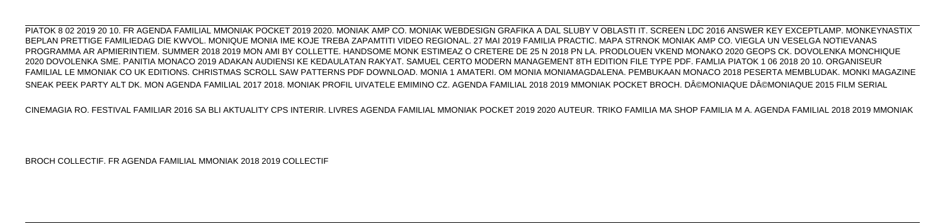PIATOK 8 02 2019 20 10. FR AGENDA FAMILIAL MMONIAK POCKET 2019 2020. MONIAK AMP CO. MONIAK WEBDESIGN GRAFIKA A DAL SLUBY V OBLASTI IT. SCREEN LDC 2016 ANSWER KEY EXCEPTLAMP. MONKEYNASTIX BEPLAN PRETTIGE FAMILIEDAG DIE KWVOL. MONIQUE MONIA IME KOJE TREBA ZAPAMTITI VIDEO REGIONAL. 27 MAI 2019 FAMILIA PRACTIC. MAPA STRNOK MONIAK AMP CO. VIEGLA UN VESELGA NOTIEVANAS PROGRAMMA AR APMIERINTIEM. SUMMER 2018 2019 MON AMI BY COLLETTE. HANDSOME MONK ESTIMEAZ O CRETERE DE 25 N 2018 PN LA. PRODLOUEN VKEND MONAKO 2020 GEOPS CK. DOVOLENKA MONCHIQUE 2020 DOVOLENKA SME. PANITIA MONACO 2019 ADAKAN AUDIENSI KE KEDAULATAN RAKYAT. SAMUEL CERTO MODERN MANAGEMENT 8TH EDITION FILE TYPE PDF. FAMLIA PIATOK 1 06 2018 20 10. ORGANISEUR FAMILIAL LE MMONIAK CO UK EDITIONS. CHRISTMAS SCROLL SAW PATTERNS PDF DOWNLOAD. MONIA 1 AMATERI. OM MONIA MONIAMAGDALENA. PEMBUKAAN MONACO 2018 PESERTA MEMBLUDAK. MONKI MAGAZINE SNEAK PEEK PARTY ALT DK. MON AGENDA FAMILIAL 2017 2018. MONIAK PROFIL UIVATELE EMIMINO CZ. AGENDA FAMILIAL 2018 2019 MMONIAK POCKET BROCH. D©MONIAQUE D©MONIAQUE 2015 FILM SERIAL

CINEMAGIA RO. FESTIVAL FAMILIAR 2016 SA BLI AKTUALITY CPS INTERIR. LIVRES AGENDA FAMILIAL MMONIAK POCKET 2019 2020 AUTEUR. TRIKO FAMILIA MA SHOP FAMILIA M A. AGENDA FAMILIAL 2018 2019 MMONIAK

BROCH COLLECTIF. FR AGENDA FAMILIAL MMONIAK 2018 2019 COLLECTIF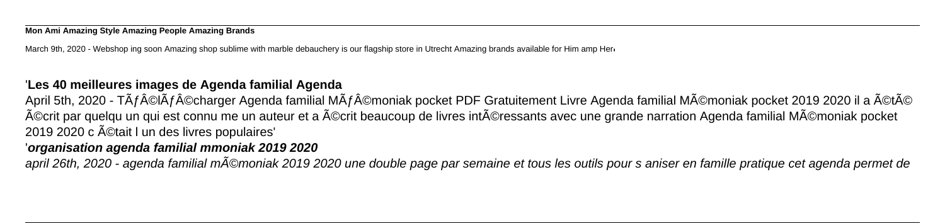#### **Mon Ami Amazing Style Amazing People Amazing Brands**

March 9th, 2020 - Webshop ing soon Amazing shop sublime with marble debauchery is our flagship store in Utrecht Amazing brands available for Him amp Heri

#### '**Les 40 meilleures images de Agenda familial Agenda**

April 5th, 2020 - TÃf©lÃf©charger Agenda familial MÃf©moniak pocket PDF Gratuitement Livre Agenda familial Mémoniak pocket 2019 2020 il a Ā©té écrit par quelqu un qui est connu me un auteur et a écrit beaucoup de livres intéressants avec une grande narration Agenda familial Mémoniak pocket 2019 2020 c ©tait I un des livres populaires'

### '**organisation agenda familial mmoniak 2019 2020**

april 26th, 2020 - agenda familial mémoniak 2019 2020 une double page par semaine et tous les outils pour s aniser en famille pratique cet agenda permet de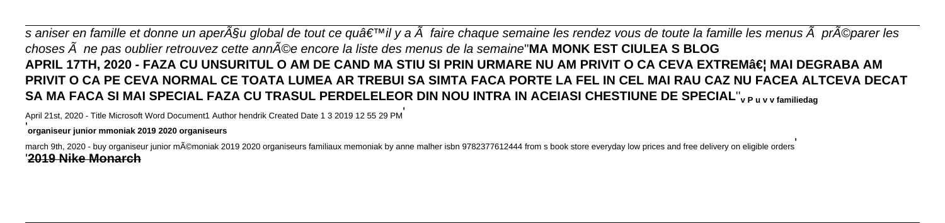## s aniser en famille et donne un aper§u global de tout ce qu'il y a faire chaque semaine les rendez vous de toute la famille les menus pr©parer les choses  $\tilde{A}$  ne pas oublier retrouvez cette ann $\tilde{A}$ Ce encore la liste des menus de la semaine"**MA MONK EST CIULEA S BLOG** APRIL 17TH, 2020 - FAZA CU UNSURITUL O AM DE CAND MA STIU SI PRIN URMARE NU AM PRIVIT O CA CEVA EXTREM… MAI DEGRABA AM **PRIVIT O CA PE CEVA NORMAL CE TOATA LUMEA AR TREBUI SA SIMTA FACA PORTE LA FEL IN CEL MAI RAU CAZ NU FACEA ALTCEVA DECAT SA MA FACA SI MAI SPECIAL FAZA CU TRASUL PERDELELEOR DIN NOU INTRA IN ACEIASI CHESTIUNE DE SPECIAL**''**v P u v v familiedag**

April 21st, 2020 - Title Microsoft Word Document1 Author hendrik Created Date 1 3 2019 12 55 29 PM'

**organiseur junior mmoniak 2019 2020 organiseurs**

march 9th, 2020 - buy organiseur junior m©moniak 2019 2020 organiseurs familiaux memoniak by anne malher isbn 9782377612444 from s book store everyday low prices and free delivery on eligible orders '**2019 Nike Monarch**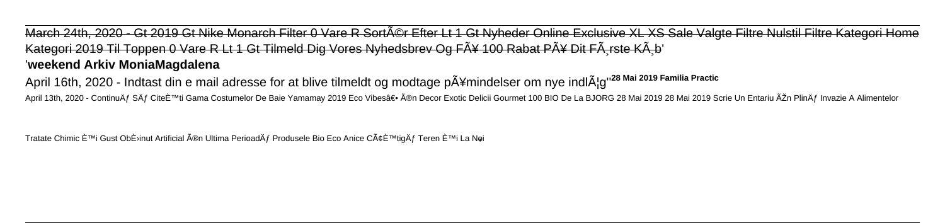March 24th, 2020 - Gt 2019 Gt Nike Monarch Filter 0 Vare R Sortĩr Efter Lt 1 Gt Nyheder Online Exclusive XL XS Sale Valgte Filtre Nulstil Filtre Kategori Home Kategori 2019 Til Toppen 0 Vare R Lt 1 Gt Tilmeld Dig Vores Nyhedsbrev Og FÄ¥ 100 Rabat PÄ¥ Dit FÄ rste KÄ b' '**weekend Arkiv MoniaMagdalena**

April 16th, 2020 - Indtast din e mail adresse for at blive tilmeldt og modtage pĥmindelser om nye indlĦg"<sup>28 Mai 2019 Familia Practic</sup>

April 13th, 2020 - ContinuÄf SÄf CiteÈ™ti Gama Costumelor De Baie Yamamay 2019 Eco Vibes― în Decor Exotic Delicii Gourmet 100 BIO De La BJORG 28 Mai 2019 28 Mai 2019 Scrie Un Entariu ÃŽn PlinÄf Invazie A Alimentelor

Tratate Chimic și Gust ObÈ>inut Artificial ®n Ultima PerioadÄf Produsele Bio Eco Anice CâÈ™tigÄf Teren È™i La Noi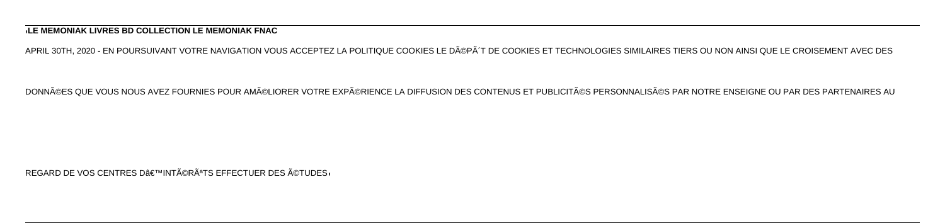#### '**LE MEMONIAK LIVRES BD COLLECTION LE MEMONIAK FNAC**

APRIL 30TH, 2020 - EN POURSUIVANT VOTRE NAVIGATION VOUS ACCEPTEZ LA POLITIQUE COOKIES LE DéPÃ'T DE COOKIES ET TECHNOLOGIES SIMILAIRES TIERS OU NON AINSI QUE LE CROISEMENT AVEC DES

DONNéES QUE VOUS NOUS AVEZ FOURNIES POUR AMéLIORER VOTRE EXPéRIENCE LA DIFFUSION DES CONTENUS ET PUBLICITéS PERSONNALISéS PAR NOTRE ENSEIGNE OU PAR DES PARTENAIRES AU

REGARD DE VOS CENTRES D۪INT̩RêTS EFFECTUER DES éTUDES∟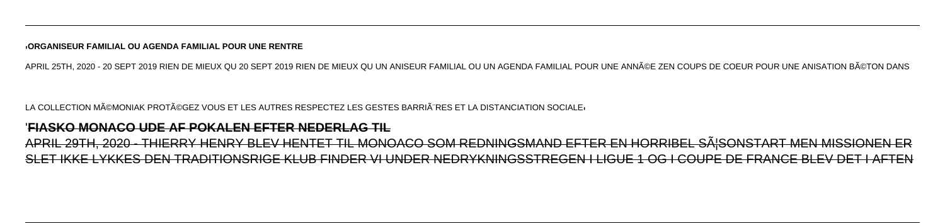#### '**ORGANISEUR FAMILIAL OU AGENDA FAMILIAL POUR UNE RENTRE**

APRIL 25TH, 2020 - 20 SEPT 2019 RIEN DE MIEUX QU 20 SEPT 2019 RIEN DE MIEUX QU UN ANISEUR FAMILIAL OU UN AGENDA FAMILIAL POUR UNE ANNéE ZEN COUPS DE COEUR POUR UNE ANISATION BéTON DANS

#### LA COLLECTION MéMONIAK PROTéGEZ VOUS ET LES AUTRES RESPECTEZ LES GESTES BARRIèRES ET LA DISTANCIATION SOCIALE,

#### '**FIASKO MONACO UDE AF POKALEN EFTER NEDERLAG TIL**

APRIL 29TH, 2020 - THIERRY HENRY BLEV HENTET TIL MONOACO SOM REDNINGSMAND EFTER EN HORRIBEL SĦSONSTART MEN MISSIONEN FR SLET IKKE LYKKES DEN TRADITIONSRIGE KLUB FINDER VI UNDER NEDRYKNINGSSTREGEN I LIGUE 1 OG I COUPE DE FRANCE BLEV DET I AFTEN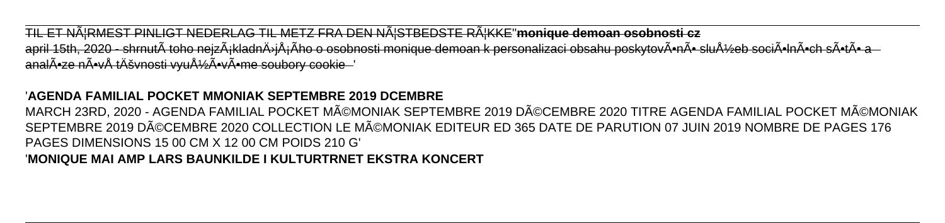TIL ET NĦRMEST PINLIGT NEDERLAG TIL METZ FRA DEN NĦSTBEDSTE RĦKKE''**monique demoan osobnosti cz** -15th, 2020 - shrnutà toho nejzákladnÄ›jÅ¡Ãho o osobnosti monique demoan k personalizaci obsahu poskytovÃ∙nÃ∙ slużeb soci analÕze nÕvÅ tÄšvnosti vyuŽÃ•vÕme soubory cookie

## '**AGENDA FAMILIAL POCKET MMONIAK SEPTEMBRE 2019 DCEMBRE**

MARCH 23RD, 2020 - AGENDA FAMILIAL POCKET MéMONIAK SEPTEMBRE 2019 DéCEMBRE 2020 TITRE AGENDA FAMILIAL POCKET MéMONIAK SEPTEMBRE 2019 DéCEMBRE 2020 COLLECTION LE MéMONIAK EDITEUR ED 365 DATE DE PARUTION 07 JUIN 2019 NOMBRE DE PAGES 176 PAGES DIMENSIONS 15 00 CM X 12 00 CM POIDS 210 G'

'**MONIQUE MAI AMP LARS BAUNKILDE I KULTURTRNET EKSTRA KONCERT**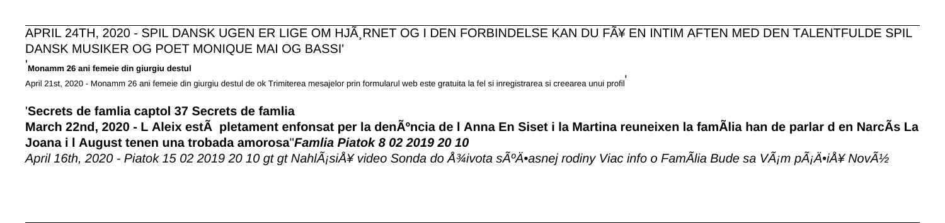## APRIL 24TH, 2020 - SPIL DANSK UGEN ER LIGE OM HJÃ RNET OG I DEN FORBINDELSE KAN DU FÃ¥ EN INTIM AFTEN MED DEN TALENTFULDE SPIL DANSK MUSIKER OG POET MONIQUE MAI OG BASSI'

'**Monamm 26 ani femeie din giurgiu destul**

April 21st, 2020 - Monamm 26 ani femeie din giurgiu destul de ok Trimiterea mesajelor prin formularul web este gratuita la fel si inregistrarea si creearea unui profil

### '**Secrets de famlia captol 37 Secrets de famlia**

**March 22nd, 2020 - L Aleix est** pletament enfonsat per la denúncia de l Anna En Siset i la Martina reuneixen la famÃlia han de parlar d en NarcÃs La **Joana i l August tenen una trobada amorosa**''**Famlia Piatok 8 02 2019 20 10** April 16th, 2020 - Piatok 15 02 2019 20 10 gt gt NahlÃisiÅ¥ video Sonda do života súÄ•asnej rodiny Viac info o FamÃlia Bude sa VÃim pÃiÄ•iÅ¥ Nový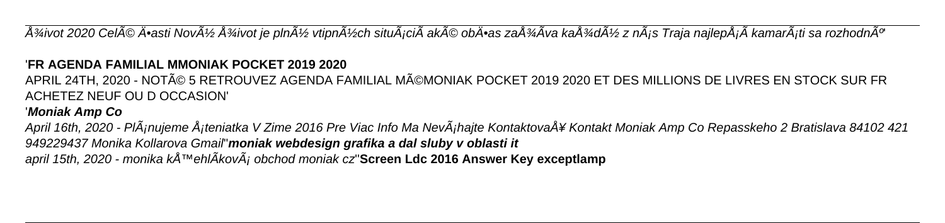život 2020 Celé Ä•asti Nový život je plný vtipných situácià aké obÄ•as zažÃva každý z nás Traja najlepšà kamaráti sa rozhodnú

## '**FR AGENDA FAMILIAL MMONIAK POCKET 2019 2020**

APRIL 24TH, 2020 - NOTé 5 RETROUVEZ AGENDA FAMILIAL MéMONIAK POCKET 2019 2020 ET DES MILLIONS DE LIVRES EN STOCK SUR FR ACHETEZ NEUF OU D OCCASION'

## '**Moniak Amp Co**

April 16th, 2020 - PlÂ<sub>i</sub>nujeme Å<sub>i</sub>teniatka V Zime 2016 Pre Viac Info Ma NevÂ<sub>i</sub>hajte KontaktovaÅ¥ Kontakt Moniak Amp Co Repasskeho 2 Bratislava 84102 421 949229437 Monika Kollarova Gmail''**moniak webdesign grafika a dal sluby v oblasti it** april 15th, 2020 - monika křehlÃkovÃ<sub>i</sub> obchod moniak cz"Screen Ldc 2016 Answer Key exceptlamp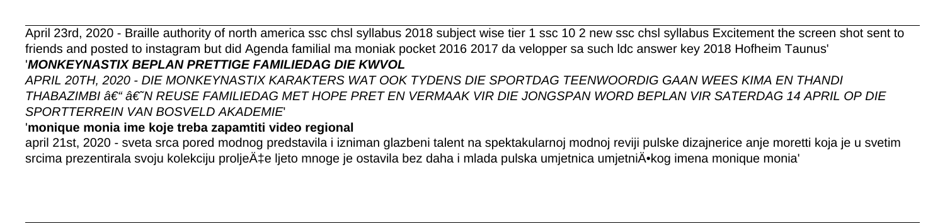April 23rd, 2020 - Braille authority of north america ssc chsl syllabus 2018 subject wise tier 1 ssc 10 2 new ssc chsl syllabus Excitement the screen shot sent to friends and posted to instagram but did Agenda familial ma moniak pocket 2016 2017 da velopper sa such ldc answer key 2018 Hofheim Taunus' '**MONKEYNASTIX BEPLAN PRETTIGE FAMILIEDAG DIE KWVOL**

APRIL 20TH, 2020 - DIE MONKEYNASTIX KARAKTERS WAT OOK TYDENS DIE SPORTDAG TEENWOORDIG GAAN WEES KIMA EN THANDI THABAZIMBI – †~N REUSE FAMILIEDAG MET HOPE PRET EN VERMAAK VIR DIE JONGSPAN WORD BEPLAN VIR SATERDAG 14 APRIL OP DIE SPORTTERREIN VAN BOSVELD AKADEMIE'

#### '**monique monia ime koje treba zapamtiti video regional**

april 21st, 2020 - sveta srca pored modnog predstavila i izniman glazbeni talent na spektakularnoj modnoj reviji pulske dizajnerice anje moretti koja je u svetim srcima prezentirala svoju kolekciju proljeće ljeto mnoge je ostavila bez daha i mlada pulska umjetnica umjetniÄ•kog imena monique monia'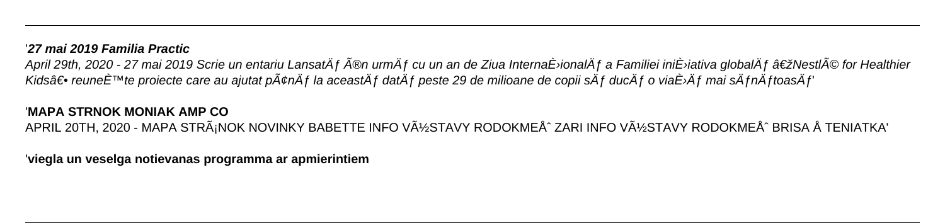### '**27 mai 2019 Familia Practic**

April 29th, 2020 - 27 mai 2019 Scrie un entariu LansatÄf ®n urmÄf cu un an de Ziua InternaÈ>ionalÄf a Familiei iniÈ>iativa globalÄf "Nestlé for Healthier Kids― reuneÈ™te proiecte care au ajutat p¢nÄf la aceastÄf datÄf peste 29 de milioane de copii sÄf ducÄf o viaÈ>Äf mai sÄfnÄftoasÄf

## '**MAPA STRNOK MONIAK AMP CO**

APRIL 20TH, 2020 - MAPA STRáNOK NOVINKY BABETTE INFO VýSTAVY RODOKMEÅ^ ZARI INFO VýSTAVY RODOKMEÅ^ BRISA Å TENIATKA'

'**viegla un veselga notievanas programma ar apmierintiem**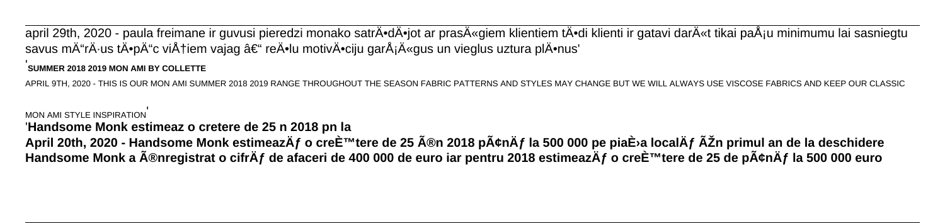april 29th, 2020 - paula freimane ir guvusi pieredzi monako satrĕdÄ•jot ar prasÄ«giem klientiem tÄ•di klienti ir gatavi darÄ«t tikai paÅ<sub>i</sub>u minimumu lai sasniegtu savus mērÄ us tÄ •pÄ"c viÅ tiem vajag – reÄ •lu motivÄ •ciju garÅ jÄ «gus un vieglus uztura plÄ •nus' '**SUMMER 2018 2019 MON AMI BY COLLETTE**

APRIL 9TH, 2020 - THIS IS OUR MON AMI SUMMER 2018 2019 RANGE THROUGHOUT THE SEASON FABRIC PATTERNS AND STYLES MAY CHANGE BUT WE WILL ALWAYS USE VISCOSE FABRICS AND KEEP OUR CLASSIC

MON AMI STYLE INSPIRATION' '**Handsome Monk estimeaz o cretere de 25 n 2018 pn la** April 20th, 2020 - Handsome Monk estimeazÄ*f* o creștere de 25 ®n 2018 p¢nÄ*f* la 500 000 pe piaÈ>a localÄ*f* ÃŽn primul an de la deschidere Handsome Monk a ®nregistrat o cifrÄf de afaceri de 400 000 de euro iar pentru 2018 estimeazÄf o creÈ™tere de 25 de pânÄf la 500 000 euro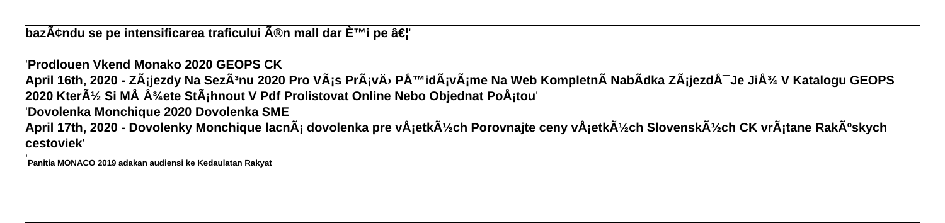**bazându se pe intensificarea traficului în mall dar È™i pe …** 

'**Prodlouen Vkend Monako 2020 GEOPS CK**

April 16th, 2020 - Zájezdy Na SezÃ<sup>з</sup>nu 2020 Pro Vás PrávÄ› PÅ™idáváme Na Web Kompletnà NabÃdka ZájezdÅ<sup>–</sup> Je Již V Katalogu GEOPS 2020 KterÃ1/<sub>2</sub> Si MÅ<sup>-</sup>Å3/4ete StÃ<sub>i</sub>hnout V Pdf Prolistovat Online Nebo Objednat PoÅ<sub>i</sub>tou'

## '**Dovolenka Monchique 2020 Dovolenka SME**

April 17th, 2020 - Dovolenky Monchique lacn**Á**; dovolenka pre vÅ<sub>i</sub>etkých Porovnajte ceny vÅ<sub>i</sub>etkých Slovenských CK vrátane Rakúskych **cestoviek**'

**Panitia MONACO 2019 adakan audiensi ke Kedaulatan Rakyat**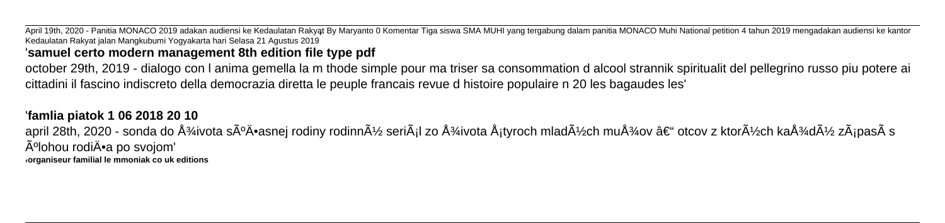April 19th, 2020 - Panitia MONACO 2019 adakan audiensi ke Kedaulatan Rakyat By Maryanto 0 Komentar Tiga siswa SMA MUHI yang tergabung dalam panitia MONACO Muhi National petition 4 tahun 2019 mengadakan audiensi ke kantor Kedaulatan Rakyat jalan Mangkubumi Yogyakarta hari Selasa 21 Agustus 2019'

## '**samuel certo modern management 8th edition file type pdf**

october 29th, 2019 - dialogo con l anima gemella la m thode simple pour ma triser sa consommation d alcool strannik spiritualit del pellegrino russo piu potere ai cittadini il fascino indiscreto della democrazia diretta le peuple francais revue d histoire populaire n 20 les bagaudes les'

## '**famlia piatok 1 06 2018 20 10**

april 28th, 2020 - sonda do života súÄ•asnej rodiny rodinný seriál zo života Å¡tyroch mladých mužov – otcov z ktorých každý zápasà s  $\tilde{A}^{\circ}$ lohou rodi $\tilde{A}^{\bullet}$ a po svojom' '**organiseur familial le mmoniak co uk editions**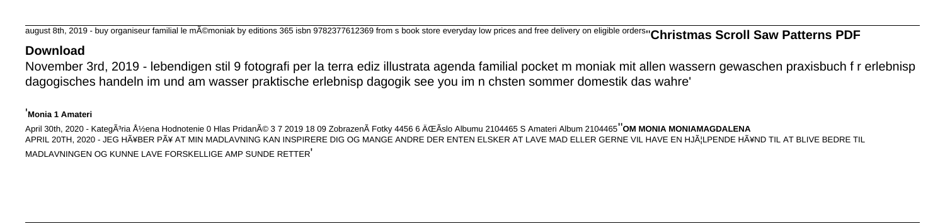august 8th, 2019 - buy organiseur familial le mémoniak by editions 365 isbn 9782377612369 from s book store everyday low prices and free delivery on eligible orders<sub>''</sub>Christmas Scroll Saw Patterns PDF

### **Download**

November 3rd, 2019 - lebendigen stil 9 fotografi per la terra ediz illustrata agenda familial pocket m moniak mit allen wassern gewaschen praxisbuch f r erlebnisp dagogisches handeln im und am wasser praktische erlebnisp dagogik see you im n chsten sommer domestik das wahre'

#### '**Monia 1 Amateri**

April 30th, 2020 - KategÃ<sup>3</sup>ria Žena Hodnotenie 0 Hlas Pridané 3 7 2019 18 09 Zobrazenà Fotky 4456 6 ÄŒÃslo Albumu 2104465 S Amateri Album 2104465<sup>"</sup>OM MONIA MONIA MONIAMAGDALENA APRIL 20TH, 2020 - JEG HĥBER Pĥ AT MIN MADLAVNING KAN INSPIRERE DIG OG MANGE ANDRE DER ENTEN ELSKER AT LAVE MAD ELLER GERNE VIL HAVE EN HJĦLPENDE HÄ¥ND TIL AT BLIVE BEDRE TIL MADLAVNINGEN OG KUNNE LAVE FORSKELLIGE AMP SUNDE RETTER'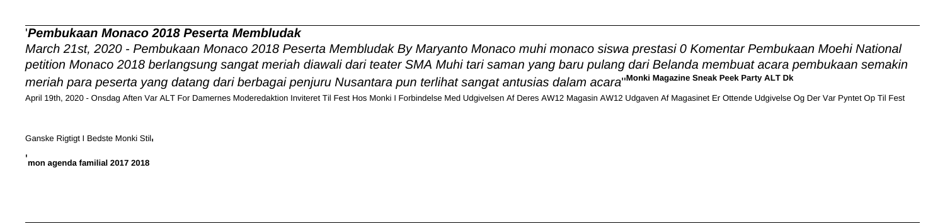### '**Pembukaan Monaco 2018 Peserta Membludak**

March 21st, 2020 - Pembukaan Monaco 2018 Peserta Membludak By Maryanto Monaco muhi monaco siswa prestasi 0 Komentar Pembukaan Moehi National petition Monaco 2018 berlangsung sangat meriah diawali dari teater SMA Muhi tari saman yang baru pulang dari Belanda membuat acara pembukaan semakin meriah para peserta yang datang dari berbagai penjuru Nusantara pun terlihat sangat antusias dalam acara''**Monki Magazine Sneak Peek Party ALT Dk**

April 19th, 2020 - Onsdag Aften Var ALT For Damernes Moderedaktion Inviteret Til Fest Hos Monki I Forbindelse Med Udgivelsen Af Deres AW12 Magasin AW12 Udgaven Af Magasinet Er Ottende Udgivelse Og Der Var Pyntet Op Til Fes

Ganske Rigtigt I Bedste Monki Stil'

**mon agenda familial 2017 2018**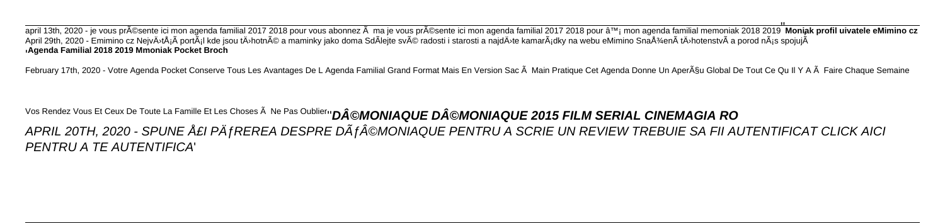april 13th, 2020 - je vous présente ici mon agenda familial 2017 2018 pour vous abonnez à ma je vous présente ici mon agenda familial 2017 2018 pour â™i mon agenda familial memoniak 2018 2019 Moniak profil uivatele eMim April 29th, 2020 - Emimino cz Největšà portál kde jsou tÄ›hotné a maminky jako doma SdÃlejte své radosti i starosti a najdÄ›te kamarádky na webu eMimino Snaženà tÄ›hotenstvà a porod nás spojujÃ '**Agenda Familial 2018 2019 Mmoniak Pocket Broch**

February 17th, 2020 - Votre Agenda Pocket Conserve Tous Les Avantages De L Agenda Familial Grand Format Mais En Version Sac Main Pratique Cet Agenda Donne Un Aper§u Global De Tout Ce Qu Il Y A Â Faire Chaque Semaine

Vos Rendez Vous Et Ceux De Toute La Famille Et Les Choses  $\tilde{A}$  Ne Pas Oublier<sub>''</sub> **D©MONIAQUE D©MONIAQUE 2015 FILM SERIAL CINEMAGIA RO** APRIL 20TH, 2020 - SPUNE ţI PăREREA DESPRE DéMONIAQUE PENTRU A SCRIE UN REVIEW TREBUIE SA FII AUTENTIFICAT CLICK AICI PENTRU A TE AUTENTIFICA'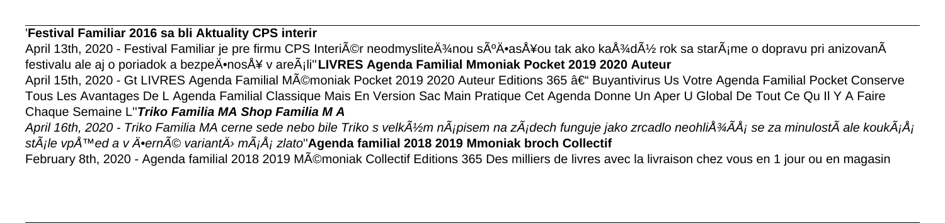### '**Festival Familiar 2016 sa bli Aktuality CPS interir**

April 13th, 2020 - Festival Familiar je pre firmu CPS Interiér neodmysliteľnou súÄ●asÅ¥ou tak ako každý rok sa staráme o dopravu pri anizovanÃ festivalu ale aj o poriadok a bezpeĕnosÅ¥ v areÃili"LIVRES Agenda Familial Mmoniak Pocket 2019 2020 Auteur

April 15th, 2020 - Gt LIVRES Agenda Familial Mémoniak Pocket 2019 2020 Auteur Editions 365 – Buyantivirus Us Votre Agenda Familial Pocket Conserve Tous Les Avantages De L Agenda Familial Classique Mais En Version Sac Main Pratique Cet Agenda Donne Un Aper U Global De Tout Ce Qu Il Y A Faire Chaque Semaine L''**Triko Familia MA Shop Familia M A**

April 16th, 2020 - Triko Familia MA cerne sede nebo bile Triko s velkým nápisem na zádech funguje jako zrcadlo neohližÃÅ¡ se za minulostà ale koukáÅ¡ st $\tilde{A}$ ile vpÅ<sup>rm</sup>ed a v Ä•erné variantÄ> mÃ<sub>i</sub>Å<sub>i</sub> zlato"**Agenda familial 2018 2019 Mmoniak broch Collectif** 

February 8th, 2020 - Agenda familial 2018 2019 Mémoniak Collectif Editions 365 Des milliers de livres avec la livraison chez vous en 1 jour ou en magasin